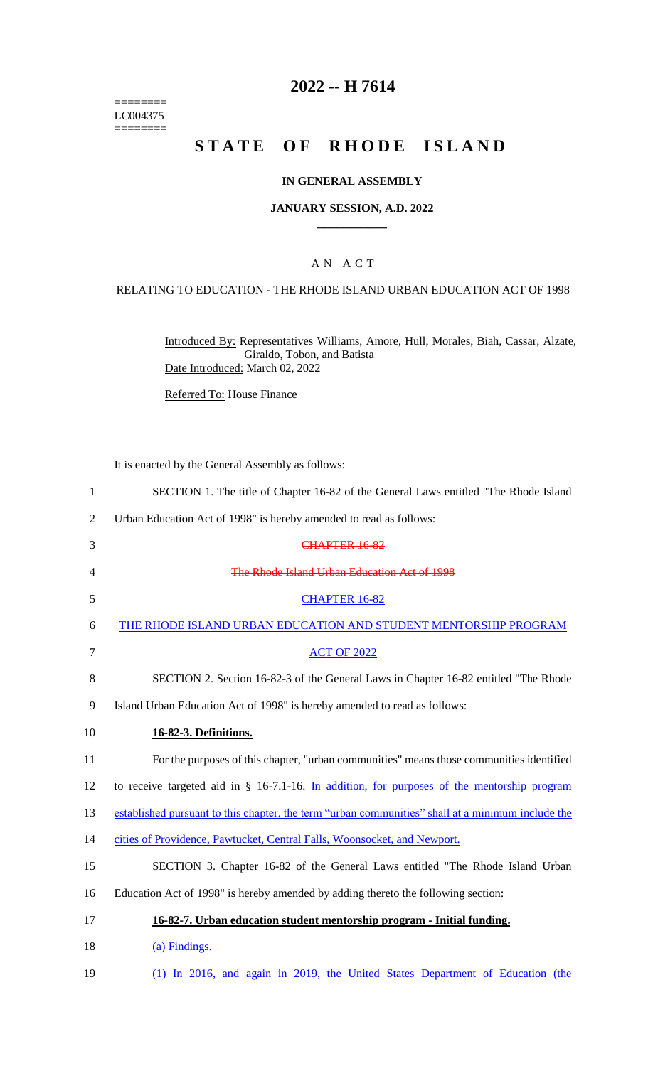======== LC004375  $=$ 

# **2022 -- H 7614**

# **STATE OF RHODE ISLAND**

## **IN GENERAL ASSEMBLY**

#### **JANUARY SESSION, A.D. 2022 \_\_\_\_\_\_\_\_\_\_\_\_**

## A N A C T

## RELATING TO EDUCATION - THE RHODE ISLAND URBAN EDUCATION ACT OF 1998

Introduced By: Representatives Williams, Amore, Hull, Morales, Biah, Cassar, Alzate, Giraldo, Tobon, and Batista Date Introduced: March 02, 2022

Referred To: House Finance

It is enacted by the General Assembly as follows:

| $\mathbf{1}$   | SECTION 1. The title of Chapter 16-82 of the General Laws entitled "The Rhode Island"             |
|----------------|---------------------------------------------------------------------------------------------------|
| $\overline{2}$ | Urban Education Act of 1998" is hereby amended to read as follows:                                |
| 3              | <b>CHAPTER 16-82</b>                                                                              |
| 4              | The Rhode Island Urban Education Act of 1998                                                      |
| 5              | <b>CHAPTER 16-82</b>                                                                              |
| 6              | THE RHODE ISLAND URBAN EDUCATION AND STUDENT MENTORSHIP PROGRAM                                   |
| 7              | <b>ACT OF 2022</b>                                                                                |
| 8              | SECTION 2. Section 16-82-3 of the General Laws in Chapter 16-82 entitled "The Rhode               |
| 9              | Island Urban Education Act of 1998" is hereby amended to read as follows:                         |
| 10             | 16-82-3. Definitions.                                                                             |
| 11             | For the purposes of this chapter, "urban communities" means those communities identified          |
| 12             | to receive targeted aid in $\S$ 16-7.1-16. In addition, for purposes of the mentorship program    |
| 13             | established pursuant to this chapter, the term "urban communities" shall at a minimum include the |
| 14             | cities of Providence, Pawtucket, Central Falls, Woonsocket, and Newport.                          |
| 15             | SECTION 3. Chapter 16-82 of the General Laws entitled "The Rhode Island Urban                     |
| 16             | Education Act of 1998" is hereby amended by adding thereto the following section:                 |
| 17             | 16-82-7. Urban education student mentorship program - Initial funding.                            |
| 18             | (a) Findings.                                                                                     |
| 19             | (1) In 2016, and again in 2019, the United States Department of Education (the                    |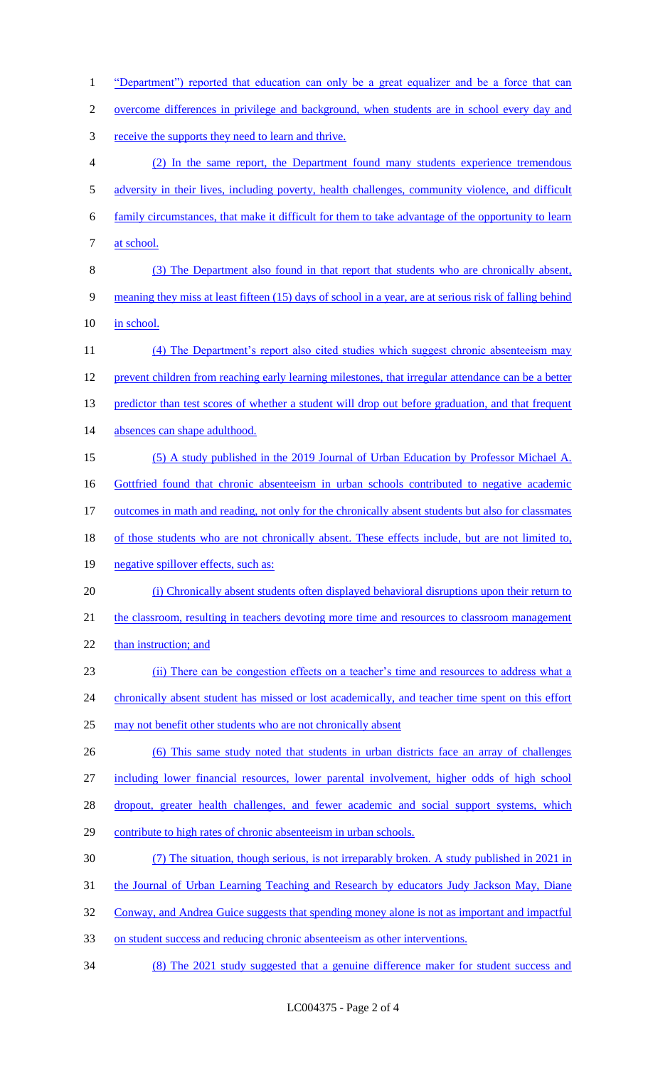1 "Department") reported that education can only be a great equalizer and be a force that can 2 overcome differences in privilege and background, when students are in school every day and 3 receive the supports they need to learn and thrive. 4 (2) In the same report, the Department found many students experience tremendous 5 adversity in their lives, including poverty, health challenges, community violence, and difficult 6 family circumstances, that make it difficult for them to take advantage of the opportunity to learn 7 at school. 8 (3) The Department also found in that report that students who are chronically absent, 9 meaning they miss at least fifteen (15) days of school in a year, are at serious risk of falling behind 10 in school. 11 (4) The Department's report also cited studies which suggest chronic absenteeism may 12 prevent children from reaching early learning milestones, that irregular attendance can be a better 13 predictor than test scores of whether a student will drop out before graduation, and that frequent 14 absences can shape adulthood. 15 (5) A study published in the 2019 Journal of Urban Education by Professor Michael A. 16 Gottfried found that chronic absenteeism in urban schools contributed to negative academic 17 outcomes in math and reading, not only for the chronically absent students but also for classmates 18 of those students who are not chronically absent. These effects include, but are not limited to, 19 negative spillover effects, such as: 20 (i) Chronically absent students often displayed behavioral disruptions upon their return to 21 the classroom, resulting in teachers devoting more time and resources to classroom management 22 than instruction; and 23 (ii) There can be congestion effects on a teacher's time and resources to address what a 24 chronically absent student has missed or lost academically, and teacher time spent on this effort 25 may not benefit other students who are not chronically absent 26 (6) This same study noted that students in urban districts face an array of challenges 27 including lower financial resources, lower parental involvement, higher odds of high school 28 dropout, greater health challenges, and fewer academic and social support systems, which 29 contribute to high rates of chronic absenteeism in urban schools. 30 (7) The situation, though serious, is not irreparably broken. A study published in 2021 in 31 the Journal of Urban Learning Teaching and Research by educators Judy Jackson May, Diane 32 Conway, and Andrea Guice suggests that spending money alone is not as important and impactful 33 on student success and reducing chronic absenteeism as other interventions. 34 (8) The 2021 study suggested that a genuine difference maker for student success and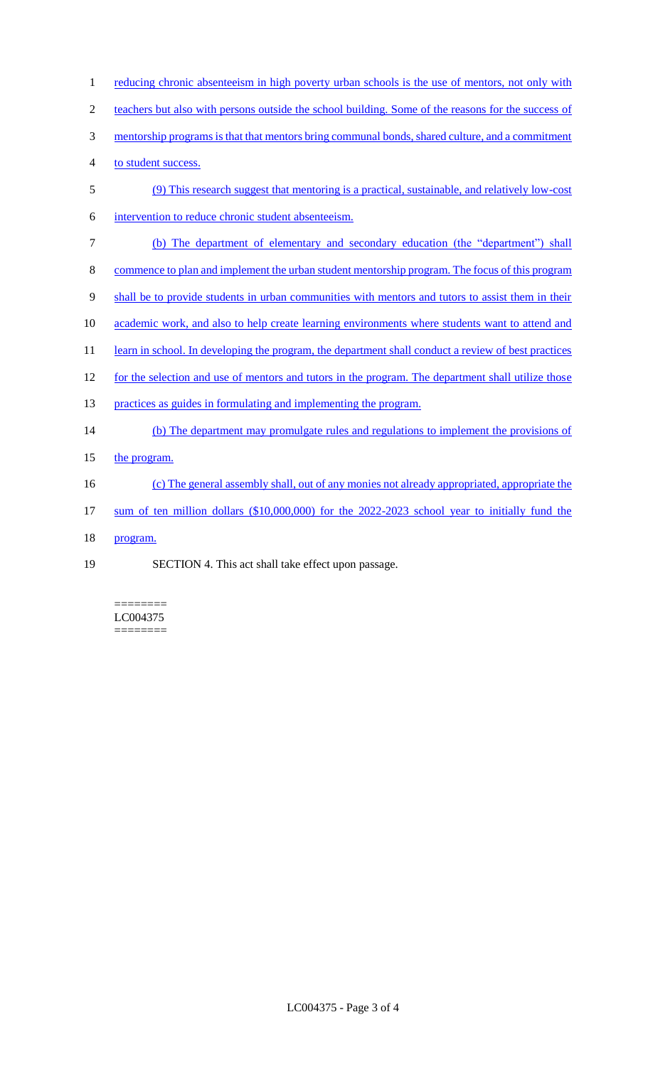| 1              | reducing chronic absenteeism in high poverty urban schools is the use of mentors, not only with     |
|----------------|-----------------------------------------------------------------------------------------------------|
| $\overline{2}$ | teachers but also with persons outside the school building. Some of the reasons for the success of  |
| 3              | mentorship programs is that that mentors bring communal bonds, shared culture, and a commitment     |
| 4              | to student success.                                                                                 |
| 5              | (9) This research suggest that mentoring is a practical, sustainable, and relatively low-cost       |
| 6              | intervention to reduce chronic student absenteeism.                                                 |
| 7              | (b) The department of elementary and secondary education (the "department") shall                   |
| 8              | commence to plan and implement the urban student mentorship program. The focus of this program      |
| 9              | shall be to provide students in urban communities with mentors and tutors to assist them in their   |
| 10             | academic work, and also to help create learning environments where students want to attend and      |
| 11             | learn in school. In developing the program, the department shall conduct a review of best practices |
| 12             | for the selection and use of mentors and tutors in the program. The department shall utilize those  |
| 13             | practices as guides in formulating and implementing the program.                                    |
| 14             | (b) The department may promulgate rules and regulations to implement the provisions of              |
| 15             | the program.                                                                                        |
| 16             | (c) The general assembly shall, out of any monies not already appropriated, appropriate the         |
| 17             | sum of ten million dollars (\$10,000,000) for the 2022-2023 school year to initially fund the       |
| 18             | program.                                                                                            |
| 19             | SECTION 4. This act shall take effect upon passage.                                                 |

======== LC004375 ========